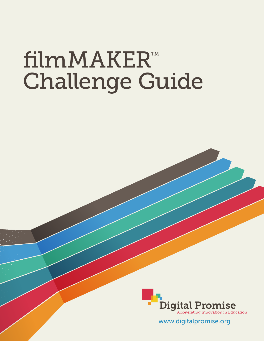# filmMAKER™ Challenge Guide



www.digitalpromise.org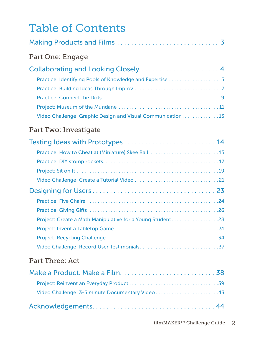# Table of Contents

| Part One: Engage                                           |  |
|------------------------------------------------------------|--|
|                                                            |  |
| Practice: Identifying Pools of Knowledge and Expertise 5   |  |
|                                                            |  |
|                                                            |  |
|                                                            |  |
| Video Challenge: Graphic Design and Visual Communication13 |  |

### Part Two: Investigate

| Testing Ideas with Prototypes  14                         |  |
|-----------------------------------------------------------|--|
| Practice: How to Cheat at (Miniature) Skee Ball 15        |  |
|                                                           |  |
|                                                           |  |
|                                                           |  |
|                                                           |  |
|                                                           |  |
|                                                           |  |
| Project: Create a Math Manipulative for a Young Student28 |  |
|                                                           |  |
|                                                           |  |
|                                                           |  |

### Part Three: Act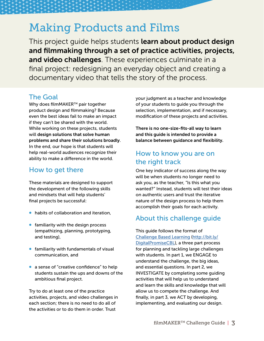# <span id="page-2-0"></span>Making Products and Films

This project guide helps students learn about product design and filmmaking through a set of practice activities, projects, and video challenges. These experiences culminate in a final project: redesigning an everyday object and creating a documentary video that tells the story of the process.

### The Goal

Why does filmMAKER<sup>™</sup> pair together product design and filmmaking? Because even the best ideas fail to make an impact if they can't be shared with the world. While working on these projects, students will design solutions that solve human problems and share their solutions broadly. In the end, our hope is that students will help real-world audiences recognize their ability to make a difference in the world.

### How to get there

These materials are designed to support the development of the following skills and mindsets that will help students' final projects be successful:

- habits of collaboration and iteration,
- **•** familiarity with the design process (empathizing, planning, prototyping, and testing),
- familiarity with fundamentals of visual communication, and
- a sense of "creative confidence" to help students sustain the ups and downs of the ambitious final project.

Try to do at least one of the practice activities, projects, and video challenges in each section; there is no need to do all of the activities or to do them in order. Trust

your judgment as a teacher and knowledge of your students to guide you through the selection, implementation, and if necessary, modification of these projects and activities.

There is no one-size-fits-all way to learn and this guide is intended to provide a balance between guidance and flexibility.

### How to know you are on the right track

One key indicator of success along the way will be when students no longer need to ask you, as the teacher, "Is this what you wanted?" Instead, students will test their ideas on authentic users and trust the iterative nature of the design process to help them accomplish their goals for each activity.

### About this challenge guide

This guide follows the format of [Challenge Based Learning](http://bit.ly/DigitalPromiseCBL) ([http://bit.ly/](http://bit.ly/DigitalPromiseCBL) [DigitalPromiseCBL\)](http://bit.ly/DigitalPromiseCBL), a three part process for planning and tackling large challenges with students. In part 1, we ENGAGE to understand the challenge, the big ideas, and essential questions. In part 2, we INVESTIGATE by completing some guiding activities that will help us to understand and learn the skills and knowledge that will allow us to compete the challenge. And finally, in part 3, we ACT by developing, implementing, and evaluating our design.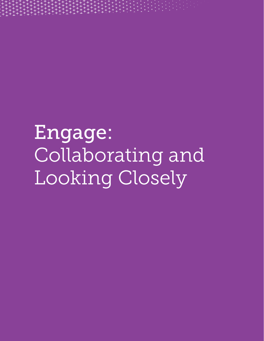<span id="page-3-0"></span>

Engage: Collaborating and Looking Closely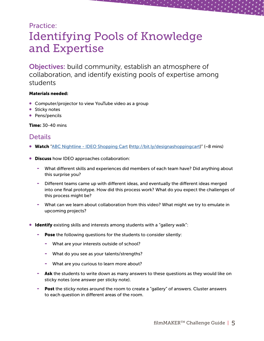# <span id="page-4-0"></span>Practice: Identifying Pools of Knowledge and Expertise

Objectives: build community, establish an atmosphere of collaboration, and identify existing pools of expertise among students

#### Materials needed:

- Computer/projector to view YouTube video as a group
- Sticky notes
- Pens/pencils

Time: 30-40 mins

### **Details**

- Watch ["ABC Nightline IDEO Shopping Cart \(http://bit.ly/designashoppingcart\)](http://bit.ly/designashoppingcart)" (~8 mins)
- **Discuss** how IDEO approaches collaboration:
	- What different skills and experiences did members of each team have? Did anything about this surprise you?
	- Different teams came up with different ideas, and eventually the different ideas merged into one final prototype. How did this process work? What do you expect the challenges of this process might be?
	- What can we learn about collaboration from this video? What might we try to emulate in upcoming projects?
- Identify existing skills and interests among students with a "gallery walk":
	- Pose the following questions for the students to consider silently:
		- What are your interests outside of school?
		- What do you see as your talents/strengths?
		- What are you curious to learn more about?
	- Ask the students to write down as many answers to these questions as they would like on sticky notes (one answer per sticky note).
	- Post the sticky notes around the room to create a "gallery" of answers. Cluster answers to each question in different areas of the room.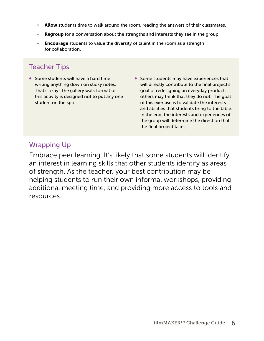- Allow students time to walk around the room, reading the answers of their classmates.
- **Regroup** for a conversation about the strengths and interests they see in the group.
- **Encourage** students to value the diversity of talent in the room as a strength for collaboration.

### Teacher Tips

- Some students will have a hard time writing anything down on sticky notes. That's okay! The gallery walk format of this activity is designed not to put any one student on the spot.
- Some students may have experiences that will directly contribute to the final project's goal of redesigning an everyday product; others may think that they do not. The goal of this exercise is to validate the interests and abilities that students bring to the table. In the end, the interests and experiences of the group will determine the direction that the final project takes.

### Wrapping Up

Embrace peer learning. It's likely that some students will identify an interest in learning skills that other students identify as areas of strength. As the teacher, your best contribution may be helping students to run their own informal workshops, providing additional meeting time, and providing more access to tools and resources.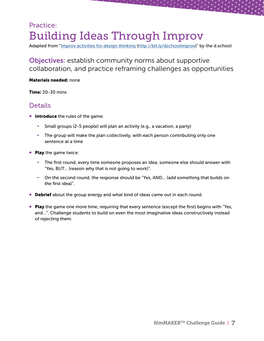# <span id="page-6-0"></span>Practice: Building Ideas Through Improv

Adapted from "[Improv activities for design thinking \(http://bit.ly/dschoolimprov](http://bit.ly/dschoolimprov))" by the d.school

Objectives: establish community norms about supportive collaboration, and practice reframing challenges as opportunities

#### Materials needed: none

Time: 20-30 mins

### **Details**

- **Introduce** the rules of the game:
	- Small groups (2-5 people) will plan an activity (e.g., a vacation, a party)
	- The group will make the plan collectively, with each person contributing only one sentence at a time
- Play the game twice:
	- The first round, every time someone proposes an idea, someone else should answer with "Yes, BUT… (reason why that is not going to work)".
	- On the second round, the response should be "Yes, AND... (add something that builds on the first idea)".
- **Debrief** about the group energy and what kind of ideas came out in each round.
- Play the game one more time, requiring that every sentence (except the first) begins with "Yes, and…". Challenge students to build on even the most imaginative ideas constructively instead of rejecting them.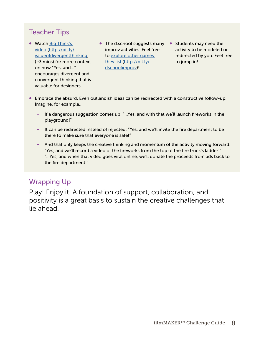### Teacher Tips

- Watch Big Think's [video](http://bit.ly/valueofdivergentthinking) [\(http://bit.ly/](http://bit.ly/valueofdivergentthinking) [valueofdivergentthinking](http://bit.ly/valueofdivergentthinking)) (~3 mins) for more context on how "Yes, and…" encourages divergent and convergent thinking that is valuable for designers.
- The d.school suggests many Students may need the improv activities. Feel free to [explore other games](http://bit.ly/dschoolimprov)  [they list](http://bit.ly/dschoolimprov) ([http://bit.ly/](http://bit.ly/dschoolimprov) [dschoolimprov](http://bit.ly/dschoolimprov))!
	- activity to be modeled or redirected by you. Feel free to jump in!
- Embrace the absurd. Even outlandish ideas can be redirected with a constructive follow-up. Imagine, for example...
	- If a dangerous suggestion comes up: "...Yes, and with that we'll launch fireworks in the playground!"
	- It can be redirected instead of rejected: "Yes, and we'll invite the fire department to be there to make sure that everyone is safe!"
	- And that only keeps the creative thinking and momentum of the activity moving forward: "Yes, and we'll record a video of the fireworks from the top of the fire truck's ladder!" "...Yes, and when that video goes viral online, we'll donate the proceeds from ads back to the fire department!"

### Wrapping Up

Play! Enjoy it. A foundation of support, collaboration, and positivity is a great basis to sustain the creative challenges that lie ahead.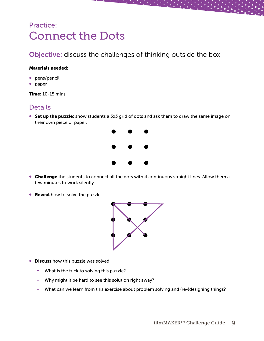# <span id="page-8-0"></span>Practice: Connect the Dots

### Objective: discuss the challenges of thinking outside the box

#### Materials needed:

- pens/pencil
- paper

Time: 10-15 mins

### **Details**

• Set up the puzzle: show students a 3x3 grid of dots and ask them to draw the same image on their own piece of paper.



- Challenge the students to connect all the dots with 4 continuous straight lines. Allow them a few minutes to work silently.
- **Reveal** how to solve the puzzle:



- **Discuss** how this puzzle was solved:
	- What is the trick to solving this puzzle?
	- Why might it be hard to see this solution right away?
	- What can we learn from this exercise about problem solving and (re-)designing things?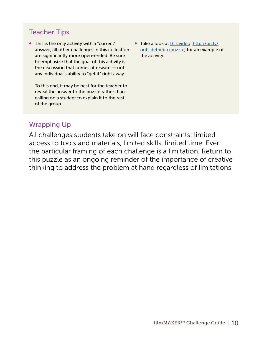### Teacher Tips

• This is the only activity with a "correct" answer; all other challenges in this collection are significantly more open-ended. Be sure to emphasize that the goal of this activity is the discussion that comes afterward — not any individual's ability to "get it" right away.

To this end, it may be best for the teacher to reveal the answer to the puzzle rather than calling on a student to explain it to the rest of the group.

• Take a look at [this video](http://bit.ly/outsidetheboxpuzzle) [\(http://bit.ly/](http://bit.ly/outsidetheboxpuzzle) [outsidetheboxpuzzle\)](http://bit.ly/outsidetheboxpuzzle) for an example of the activity.

### Wrapping Up

All challenges students take on will face constraints: limited access to tools and materials, limited skills, limited time. Even the particular framing of each challenge is a limitation. Return to this puzzle as an ongoing reminder of the importance of creative thinking to address the problem at hand regardless of limitations.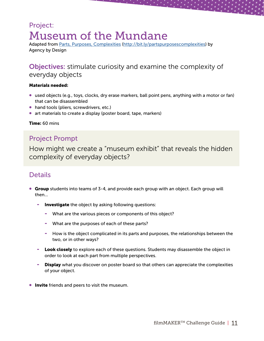# <span id="page-10-0"></span>Project: Museum of the Mundane

Adapted from [Parts, Purposes, Complexities](http://bit.ly/partspurposescomplexities) [\(http://bit.ly/partspurposescomplexities](http://bit.ly/partspurposescomplexities)) by Agency by Design

### Objectives: stimulate curiosity and examine the complexity of everyday objects

#### Materials needed:

- used objects (e.g., toys, clocks, dry erase markers, ball point pens, anything with a motor or fan) that can be disassembled
- hand tools (pliers, screwdrivers, etc.)
- art materials to create a display (poster board, tape, markers)

#### Time: 60 mins

### Project Prompt

How might we create a "museum exhibit" that reveals the hidden complexity of everyday objects?

### **Details**

- **Group** students into teams of 3-4, and provide each group with an object. Each group will then...
	- Investigate the object by asking following questions:
		- What are the various pieces or components of this object?
		- What are the purposes of each of these parts?
		- How is the object complicated in its parts and purposes, the relationships between the two, or in other ways?
	- Look closely to explore each of these questions. Students may disassemble the object in order to look at each part from multiple perspectives.
	- Display what you discover on poster board so that others can appreciate the complexities of your object.
- **Invite** friends and peers to visit the museum.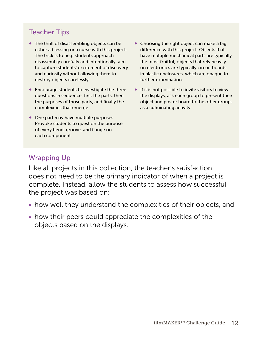### Teacher Tips

- The thrill of disassembling objects can be either a blessing or a curse with this project. The trick is to help students approach disassembly carefully and intentionally: aim to capture students' excitement of discovery and curiosity without allowing them to destroy objects carelessly.
- Encourage students to investigate the three questions in sequence: first the parts, then the purposes of those parts, and finally the complexities that emerge.
- One part may have multiple purposes. Provoke students to question the purpose of every bend, groove, and flange on each component.
- Choosing the right object can make a big difference with this project. Objects that have multiple mechanical parts are typically the most fruitful; objects that rely heavily on electronics are typically circuit boards in plastic enclosures, which are opaque to further examination.
- If it is not possible to invite visitors to view the displays, ask each group to present their object and poster board to the other groups as a culminating activity.

### Wrapping Up

Like all projects in this collection, the teacher's satisfaction does not need to be the primary indicator of when a project is complete. Instead, allow the students to assess how successful the project was based on:

- how well they understand the complexities of their objects, and
- how their peers could appreciate the complexities of the objects based on the displays.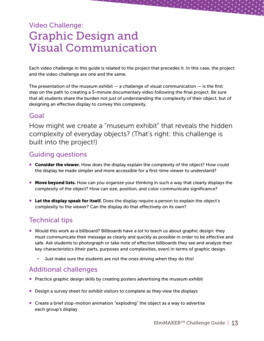# <span id="page-12-0"></span>Video Challenge: Graphic Design and Visual Communication

Each video challenge in this guide is related to the project that precedes it. In this case, the project and the video challenge are one and the same.

The presentation of the museum exhibit  $-$  a challenge of visual communication  $-$  is the first step on the path to creating a 5-minute documentary video following the final project. Be sure that all students share the burden not just of understanding the complexity of their object, but of designing an effective display to convey this complexity.

### Goal

How might we create a "museum exhibit" that reveals the hidden complexity of everyday objects? (That's right: this challenge is built into the project!)

### Guiding questions

- Consider the viewer. How does the display explain the complexity of the object? How could the display be made simpler and more accessible for a first-time viewer to understand?
- Move beyond lists. How can you organize your thinking in such a way that clearly displays the complexity of the object? How can size, position, and color communicate significance?
- **Let the display speak for itself.** Does the display require a person to explain the object's complexity to the viewer? Can the display do that effectively on its own?

### Technical tips

- Would this work as a billboard? Billboards have a lot to teach us about graphic design: they must communicate their message as clearly and quickly as possible in order to be effective and safe. Ask students to photograph or take note of effective billboards they see and analyze their key characteristics (their parts, purposes and complexities, even) in terms of graphic design.
	- Just make sure the students are not the ones driving when they do this!

### Additional challenges

- Practice graphic design skills by creating posters advertising the museum exhibit
- Design a survey sheet for exhibit visitors to complete as they view the displays
- Create a brief stop-motion animation "exploding" the object as a way to advertise each group's display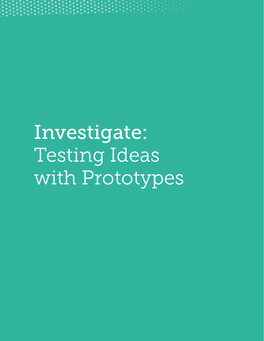<span id="page-13-0"></span>

Investigate: Testing Ideas with Prototypes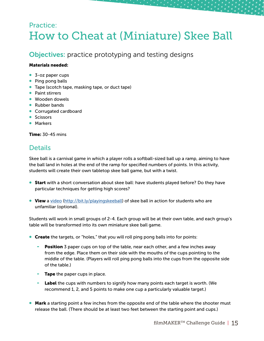# <span id="page-14-0"></span>Practice: How to Cheat at (Miniature) Skee Ball

### Objectives: practice prototyping and testing designs

#### Materials needed:

- 3-oz paper cups
- Ping pong balls
- Tape (scotch tape, masking tape, or duct tape)
- Paint stirrers
- Wooden dowels
- Rubber bands
- Corrugated cardboard
- Scissors
- Markers

Time: 30-45 mins

### **Details**

Skee ball is a carnival game in which a player rolls a softball-sized ball up a ramp, aiming to have the ball land in holes at the end of the ramp for specified numbers of points. In this activity, students will create their own tabletop skee ball game, but with a twist.

- Start with a short conversation about skee ball: have students played before? Do they have particular techniques for getting high scores?
- View a [video](http://bit.ly/playingskeeball) [\(http://bit.ly/playingskeeball](http://bit.ly/playingskeeball)) of skee ball in action for students who are unfamiliar (optional).

Students will work in small groups of 2-4. Each group will be at their own table, and each group's table will be transformed into its own miniature skee ball game.

- **Create** the targets, or "holes," that you will roll ping pong balls into for points:
	- **Position** 3 paper cups on top of the table, near each other, and a few inches away from the edge. Place them on their side with the mouths of the cups pointing to the middle of the table. (Players will roll ping pong balls into the cups from the opposite side of the table.)
	- **Tape** the paper cups in place.
	- Label the cups with numbers to signify how many points each target is worth. (We recommend 1, 2, and 5 points to make one cup a particularly valuable target.)
- Mark a starting point a few inches from the opposite end of the table where the shooter must release the ball. (There should be at least two feet between the starting point and cups.)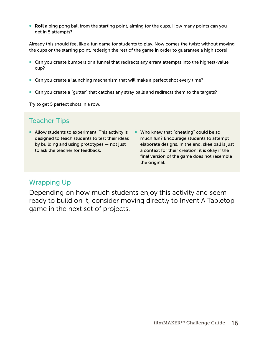• Roll a ping pong ball from the starting point, aiming for the cups. How many points can you get in 5 attempts?

Already this should feel like a fun game for students to play. Now comes the twist: without moving the cups or the starting point, redesign the rest of the game in order to guarantee a high score!

- Can you create bumpers or a funnel that redirects any errant attempts into the highest-value cup?
- Can you create a launching mechanism that will make a perfect shot every time?
- Can you create a "gutter" that catches any stray balls and redirects them to the targets?

Try to get 5 perfect shots in a row.

### Teacher Tips

- Allow students to experiment. This activity is designed to teach students to test their ideas by building and using prototypes — not just to ask the teacher for feedback.
- Who knew that "cheating" could be so much fun? Encourage students to attempt elaborate designs. In the end, skee ball is just a context for their creation; it is okay if the final version of the game does not resemble the original.

### Wrapping Up

Depending on how much students enjoy this activity and seem ready to build on it, consider moving directly to Invent A Tabletop game in the next set of projects.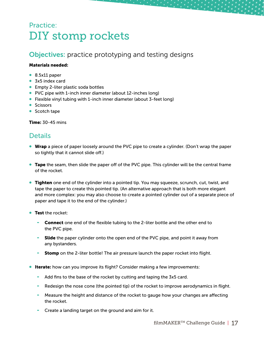# <span id="page-16-0"></span>Practice: DIY stomp rockets

### Objectives: practice prototyping and testing designs

#### Materials needed:

- 8.5x11 paper
- 3x5 index card
- Empty 2-liter plastic soda bottles
- PVC pipe with 1-inch inner diameter (about 12-inches long)
- Flexible vinyl tubing with 1-inch inner diameter (about 3-feet long)
- Scissors
- Scotch tape

Time: 30-45 mins

### Details

- Wrap a piece of paper loosely around the PVC pipe to create a cylinder. (Don't wrap the paper so tightly that it cannot slide off.)
- **Tape** the seam, then slide the paper off of the PVC pipe. This cylinder will be the central frame of the rocket.
- **Tighten** one end of the cylinder into a pointed tip. You may squeeze, scrunch, cut, twist, and tape the paper to create this pointed tip. (An alternative approach that is both more elegant and more complex: you may also choose to create a pointed cylinder out of a separate piece of paper and tape it to the end of the cylinder.)
- **Test the rocket:** 
	- **Connect** one end of the flexible tubing to the 2-liter bottle and the other end to the PVC pipe.
	- **Slide** the paper cylinder onto the open end of the PVC pipe, and point it away from any bystanders.
	- **Stomp** on the 2-liter bottle! The air pressure launch the paper rocket into flight.
- **Iterate:** how can you improve its flight? Consider making a few improvements:
	- Add fins to the base of the rocket by cutting and taping the 3x5 card.
	- Redesign the nose cone (the pointed tip) of the rocket to improve aerodynamics in flight.
	- Measure the height and distance of the rocket to gauge how your changes are affecting the rocket.
	- Create a landing target on the ground and aim for it.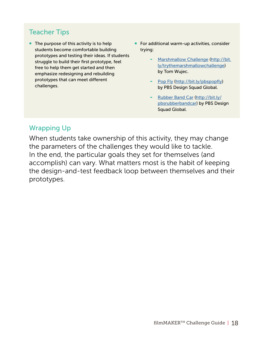### Teacher Tips

- The purpose of this activity is to help students become comfortable building prototypes and testing their ideas. If students struggle to build their first prototype, feel free to help them get started and then emphasize redesigning and rebuilding prototypes that can meet different challenges.
- For additional warm-up activities, consider trying:
	- [Marshmallow Challenge](http://bit.ly/trythemarshmallowchallenge) [\(http://bit.](http://bit.ly/trythemarshmallowchallenge) [ly/trythemarshmallowchallenge\)](http://bit.ly/trythemarshmallowchallenge) by Tom Wujec.
	- [Pop Fly \(http://bit.ly/pbspopfly\)](http://bit.ly/pbspopfly) by PBS Design Squad Global.
	- [Rubber Band Car](http://bit.ly/pbsrubberbandcar) ([http://bit.ly/](http://bit.ly/pbsrubberbandcar) [pbsrubberbandcar\)](http://bit.ly/pbsrubberbandcar) by PBS Design Squad Global.

### Wrapping Up

When students take ownership of this activity, they may change the parameters of the challenges they would like to tackle. In the end, the particular goals they set for themselves (and accomplish) can vary. What matters most is the habit of keeping the design-and-test feedback loop between themselves and their prototypes.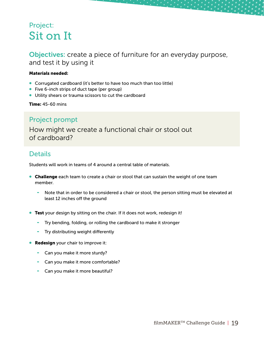# <span id="page-18-0"></span>Project: Sit on It

Objectives: create a piece of furniture for an everyday purpose, and test it by using it

#### Materials needed:

- Corrugated cardboard (it's better to have too much than too little)
- Five 6-inch strips of duct tape (per group)
- Utility shears or trauma scissors to cut the cardboard

Time: 45-60 mins

### Project prompt

How might we create a functional chair or stool out of cardboard?

### **Details**

Students will work in teams of 4 around a central table of materials.

- **Challenge** each team to create a chair or stool that can sustain the weight of one team member.
	- Note that in order to be considered a chair or stool, the person sitting must be elevated at least 12 inches off the ground
- **Test** your design by sitting on the chair. If it does not work, redesign it!
	- Try bending, folding, or rolling the cardboard to make it stronger
	- Try distributing weight differently
- **Redesign** your chair to improve it:
	- Can you make it more sturdy?
	- Can you make it more comfortable?
	- Can you make it more beautiful?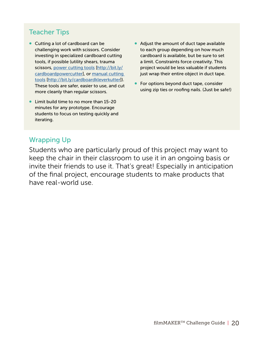### Teacher Tips

- Cutting a lot of cardboard can be challenging work with scissors. Consider investing in specialized cardboard cutting tools, if possible (utility shears, trauma scissors, [power cutting tools](http://bit.ly/cardboardpowercutter) [[http://bit.ly/](http://bit.ly/cardboardpowercutter) [cardboardpowercutter\]](http://bit.ly/cardboardpowercutter), or [manual cutting](http://bit.ly/cardboardkleverkutter)  [tools](http://bit.ly/cardboardkleverkutter) [\[http://bit.ly/cardboardkleverkutter](http://bit.ly/cardboardkleverkutter)]). These tools are safer, easier to use, and cut more cleanly than regular scissors.
- Limit build time to no more than 15-20 minutes for any prototype. Encourage students to focus on testing quickly and iterating.
- Adjust the amount of duct tape available to each group depending on how much cardboard is available, but be sure to set a limit. Constraints force creativity. This project would be less valuable if students just wrap their entire object in duct tape.
- For options beyond duct tape, consider using zip ties or roofing nails. (Just be safe!)

### Wrapping Up

Students who are particularly proud of this project may want to keep the chair in their classroom to use it in an ongoing basis or invite their friends to use it. That's great! Especially in anticipation of the final project, encourage students to make products that have real-world use.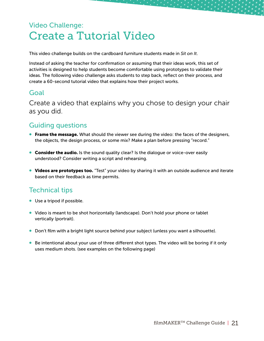# <span id="page-20-0"></span>Video Challenge: Create a Tutorial Video

This video challenge builds on the cardboard furniture students made in *Sit on It*.

Instead of asking the teacher for confirmation or assuming that their ideas work, this set of activities is designed to help students become comfortable using prototypes to validate their ideas. The following video challenge asks students to step back, reflect on their process, and create a 60-second tutorial video that explains how their project works.

### Goal

Create a video that explains why you chose to design your chair as you did.

### Guiding questions

- **Frame the message.** What should the viewer see during the video: the faces of the designers, the objects, the design process, or some mix? Make a plan before pressing "record."
- **Consider the audio.** Is the sound quality clear? Is the dialogue or voice-over easily understood? Consider writing a script and rehearsing.
- Videos are prototypes too. "Test" your video by sharing it with an outside audience and iterate based on their feedback as time permits.

### Technical tips

- Use a tripod if possible.
- Video is meant to be shot horizontally (landscape). Don't hold your phone or tablet vertically (portrait).
- Don't film with a bright light source behind your subject (unless you want a silhouette).
- Be intentional about your use of three different shot types. The video will be boring if it only uses medium shots. (see examples on the following page)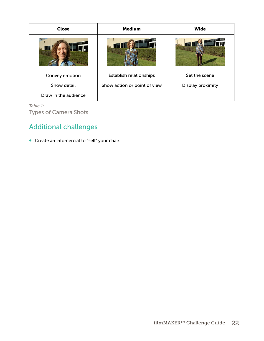| <b>Close</b>         | <b>Medium</b>                | Wide              |
|----------------------|------------------------------|-------------------|
|                      |                              | TH                |
| Convey emotion       | Establish relationships      | Set the scene     |
| Show detail          | Show action or point of view | Display proximity |
| Draw in the audience |                              |                   |

*Table 1:*

Types of Camera Shots

### Additional challenges

• Create an infomercial to "sell" your chair.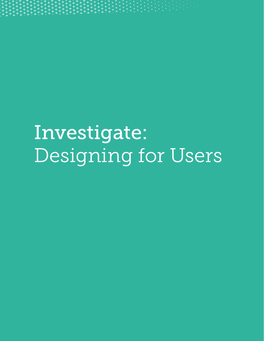<span id="page-22-0"></span>

Investigate: Designing for Users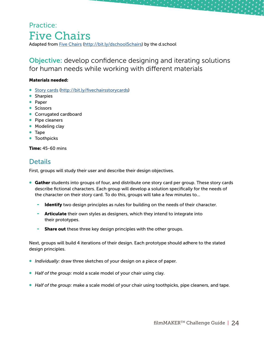### <span id="page-23-0"></span>Practice: Five Chairs Adapted from [Five Chairs](http://bit.ly/dschool5chairs) ([http://bit.ly/dschool5chairs\)](http://bit.ly/dschool5chairs) by the d.school

Objective: develop confidence designing and iterating solutions for human needs while working with different materials

#### Materials needed:

- [Story cards](http://bit.ly/fivechairsstorycards) [\(http://bit.ly/fivechairsstorycards](http://bit.ly/fivechairsstorycards))
- Sharpies
- Paper
- Scissors
- Corrugated cardboard
- Pipe cleaners
- Modeling clay
- Tape
- **•** Toothpicks

#### **Time: 45-60 mins**

### Details

First, groups will study their user and describe their design objectives.

- Gather students into groups of four, and distribute one story card per group. These story cards describe fictional characters. Each group will develop a solution specifically for the needs of the character on their story card. To do this, groups will take a few minutes to...
	- Identify two design principles as rules for building on the needs of their character.
	- Articulate their own styles as designers, which they intend to integrate into their prototypes.
	- **-** Share out these three key design principles with the other groups.

Next, groups will build 4 iterations of their design. Each prototype should adhere to the stated design principles.

- *Individually:* draw three sketches of your design on a piece of paper.
- *Half of the group:* mold a scale model of your chair using clay.
- *Half of the group:* make a scale model of your chair using toothpicks, pipe cleaners, and tape.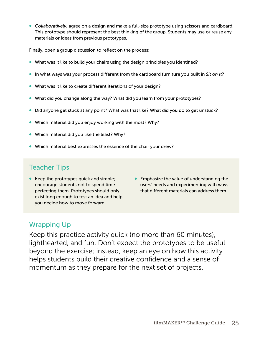• *Collaboratively:* agree on a design and make a full-size prototype using scissors and cardboard. This prototype should represent the best thinking of the group. Students may use or reuse any materials or ideas from previous prototypes.

Finally, open a group discussion to reflect on the process:

- What was it like to build your chairs using the design principles you identified?
- In what ways was your process different from the cardboard furniture you built in *Sit on It*?
- What was it like to create different iterations of your design?
- What did you change along the way? What did you learn from your prototypes?
- Did anyone get stuck at any point? What was that like? What did you do to get unstuck?
- Which material did you enjoy working with the most? Why?
- Which material did you like the least? Why?
- Which material best expresses the essence of the chair your drew?

### Teacher Tips

- Keep the prototypes quick and simple; encourage students not to spend time perfecting them. Prototypes should only exist long enough to test an idea and help you decide how to move forward.
- Emphasize the value of understanding the users' needs and experimenting with ways that different materials can address them.

### Wrapping Up

Keep this practice activity quick (no more than 60 minutes), lighthearted, and fun. Don't expect the prototypes to be useful beyond the exercise; instead, keep an eye on how this activity helps students build their creative confidence and a sense of momentum as they prepare for the next set of projects.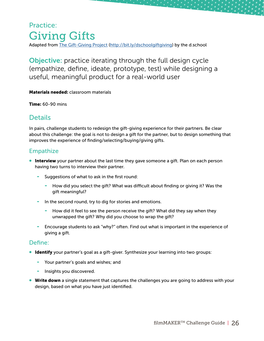### <span id="page-25-0"></span>Practice: Giving Gifts Adapted from [The Gift-Giving Project](http://bit.ly/dschoolgiftgiving) [\(http://bit.ly/dschoolgiftgiving](http://bit.ly/dschoolgiftgiving)) by the d.school

Objective: practice iterating through the full design cycle (empathize, define, ideate, prototype, test) while designing a useful, meaningful product for a real-world user

Materials needed: classroom materials

Time: 60-90 mins

### Details

In pairs, challenge students to redesign the gift-giving experience for their partners. Be clear about this challenge: the goal is not to design a gift for the partner, but to design something that improves the experience of finding/selecting/buying/giving gifts.

#### Empathize

- **Interview** your partner about the last time they gave someone a gift. Plan on each person having two turns to interview their partner.
	- Suggestions of what to ask in the first round:
		- How did you select the gift? What was difficult about finding or giving it? Was the gift meaningful?
	- In the second round, try to dig for stories and emotions.
		- How did it feel to see the person receive the gift? What did they say when they unwrapped the gift? Why did you choose to wrap the gift?
	- Encourage students to ask "why?" often. Find out what is important in the experience of giving a gift.

#### Define:

- Identify your partner's goal as a gift-giver. Synthesize your learning into two groups:
	- Your partner's goals and wishes; and
	- Insights you discovered.
- Write down a single statement that captures the challenges you are going to address with your design, based on what you have just identified.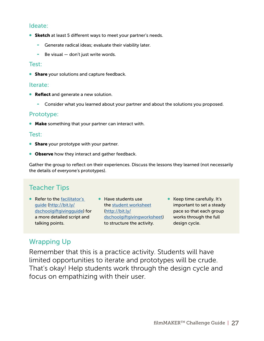#### Ideate:

- **Sketch** at least 5 different ways to meet your partner's needs.
	- Generate radical ideas; evaluate their viability later.
	- Be visual  $-$  don't just write words.

#### Test:

**• Share** your solutions and capture feedback.

#### Iterate:

- **Reflect** and generate a new solution.
	- Consider what you learned about your partner and about the solutions you proposed.

#### Prototype:

• Make something that your partner can interact with.

#### Test:

- **Share** your prototype with your partner.
- **Observe** how they interact and gather feedback.

Gather the group to reflect on their experiences. Discuss the lessons they learned (not necessarily the details of everyone's prototypes).

### Teacher Tips

- Refer to the facilitator's [guide](http://bit.ly/dschoolgiftgivingguide) [\(http://bit.ly/](http://bit.ly/dschoolgiftgivingguide) [dschoolgiftgivingguide\)](http://bit.ly/dschoolgiftgivingguide) for a more detailed script and talking points.
- Have students use the [student worksheet](http://bit.ly/dschoolgiftgivingworksheet) ([http://bit.ly/](http://bit.ly/dschoolgiftgivingworksheet) [dschoolgiftgivingworksheet\)](http://bit.ly/dschoolgiftgivingworksheet) to structure the activity.
- Keep time carefully. It's important to set a steady pace so that each group works through the full design cycle.

### Wrapping Up

Remember that this is a practice activity. Students will have limited opportunities to iterate and prototypes will be crude. That's okay! Help students work through the design cycle and focus on empathizing with their user.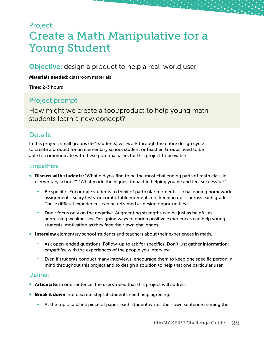# <span id="page-27-0"></span>Project: Create a Math Manipulative for a Young Student

Objective: design a product to help a real-world user

Materials needed: classroom materials

**Time: 2-3 hours** 

### Project prompt

How might we create a tool/product to help young math students learn a new concept?

### **Details**

In this project, small groups (3-4 students) will work through the entire design cycle to create a product for an elementary school student or teacher. Groups need to be able to communicate with these potential users for this project to be viable.

### Empathize

- **Discuss with students:** "What did you find to be the most challenging parts of math class in elementary school?" "What made the biggest impact in helping you be and feel successful?"
	- Be specific. Encourage students to think of particular moments challenging homework assignments, scary tests, uncomfortable moments not keeping up — across each grade. These difficult experiences can be reframed as design opportunities.
	- Don't focus only on the negative. Augmenting strengths can be just as helpful as addressing weaknesses. Designing ways to enrich positive experiences can help young students' motivation as they face their own challenges.
- **Interview** elementary school students and teachers about their experiences in math.
	- Ask open-ended questions. Follow-up to ask for specifics. Don't just gather information: *empathize* with the experiences of the people you interview.
	- Even if students conduct many interviews, encourage them to keep one specific person in mind throughout this project and to design a solution to help that one particular user.

#### Define:

- **Articulate**, in one sentence, the users' need that this project will address.
- **Break it down** into discrete steps if students need help agreeing:
	- At the top of a blank piece of paper, each student writes their own sentence framing the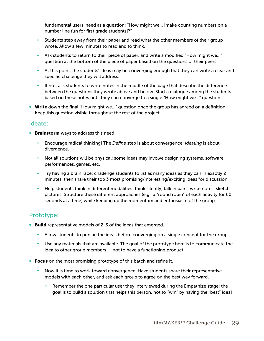fundamental users' need as a question: "How might we… [make counting numbers on a number line fun for first grade students]?"

- Students step away from their paper and read what the other members of their group wrote. Allow a few minutes to read and to think.
- Ask students to return to their piece of paper, and write a modified "How might we…" question at the bottom of the piece of paper based on the questions of their peers.
- At this point, the students' ideas may be converging enough that they can write a clear and specific challenge they will address.
- If not, ask students to write notes in the middle of the page that describe the difference between the questions they wrote above and below. Start a dialogue among the students based on these notes until they can converge to a single "How might we…" question.
- Write down the final "How might we..." question once the group has agreed on a definition. Keep this question visible throughout the rest of the project.

#### Ideate:

- **Brainstorm** ways to address this need.
	- Encourage radical thinking! The *Define* step is about convergence; *Ideating* is about divergence.
	- Not all solutions will be physical: some ideas may involve designing systems, software, performances, games, etc.
	- Try having a brain race: challenge students to list as many ideas as they can in exactly 2 minutes, then share their top 3 most promising/interesting/exciting ideas for discussion.
	- Help students think in different modalities: think silently; talk in pairs; write notes; sketch pictures. Structure these different approaches (e.g., a "round robin" of each activity for 60 seconds at a time) while keeping up the momentum and enthusiasm of the group.

### Prototype:

- **Build** representative models of 2-3 of the ideas that emerged.
	- Allow students to pursue the ideas before converging on a single concept for the group.
	- Use any materials that are available. The goal of the prototype here is to communicate the idea to other group members — not to have a functioning product.
- Focus on the most promising prototype of this batch and refine it.
	- Now it is time to work toward convergence. Have students share their representative models with each other, and ask each group to agree on the best way forward.
		- Remember the one particular user they interviewed during the Empathize stage: the goal is to build a solution that helps this person, not to "win" by having the "best" idea!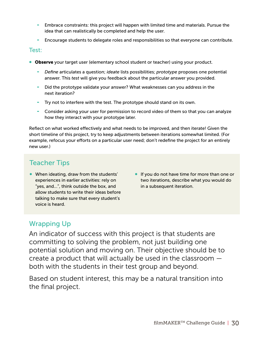- Embrace constraints: this project will happen with limited time and materials. Pursue the idea that can realistically be completed and help the user.
- Encourage students to delegate roles and responsibilities so that everyone can contribute.

#### Test:

- Observe your target user (elementary school student or teacher) using your product.
	- *Define* articulates a question; *ideate* lists possibilities; *prototype* proposes one potential answer. This *test* will give you feedback about the particular answer you provided.
	- Did the prototype validate your answer? What weaknesses can you address in the next iteration?
	- Try not to interfere with the test. The prototype should stand on its own.
	- Consider asking your user for permission to record video of them so that you can analyze how they interact with your prototype later.

Reflect on what worked effectively and what needs to be improved, and then iterate! Given the short timeline of this project, try to keep adjustments between iterations somewhat limited. (For example, refocus your efforts on a particular user need; don't redefine the project for an entirely new user.)

### Teacher Tips

- When ideating, draw from the students' experiences in earlier activities: rely on "yes, and…", think outside the box, and allow students to write their ideas before talking to make sure that every student's voice is heard.
- If you do not have time for more than one or two iterations, describe what you would do in a subsequent iteration.

### Wrapping Up

An indicator of success with this project is that students are committing to solving the problem, not just building one potential solution and moving on. Their objective should be to create a product that will actually be used in the classroom both with the students in their test group and beyond.

Based on student interest, this may be a natural transition into the final project.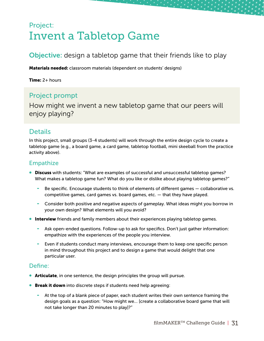# <span id="page-30-0"></span>Project: Invent a Tabletop Game

### Objective: design a tabletop game that their friends like to play

Materials needed: classroom materials (dependent on students' designs)

Time: 2+ hours

### Project prompt

How might we invent a new tabletop game that our peers will enjoy playing?

### **Details**

In this project, small groups (3-4 students) will work through the entire design cycle to create a tabletop game (e.g., a board game, a card game, tabletop football, mini skeeball from the practice activity above).

#### Empathize

- **Discuss** with students: "What are examples of successful and unsuccessful tabletop games? What makes a tabletop game fun? What do you like or dislike about playing tabletop games?"
	- Be specific. Encourage students to think of elements of different games collaborative vs. competitive games, card games vs. board games, etc. — that they have played.
	- Consider both positive and negative aspects of gameplay. What ideas might you borrow in your own design? What elements will you avoid?
- **Interview** friends and family members about their experiences playing tabletop games.
	- Ask open-ended questions. Follow-up to ask for specifics. Don't just gather information: empathize with the experiences of the people you interview.
	- Even if students conduct many interviews, encourage them to keep one specific person in mind throughout this project and to design a game that would delight that one particular user.

#### Define:

- **Articulate**, in one sentence, the design principles the group will pursue.
- **Break it down** into discrete steps if students need help agreeing:
	- At the top of a blank piece of paper, each student writes their own sentence framing the design goals as a question: "How might we… [create a collaborative board game that will not take longer than 20 minutes to play]?"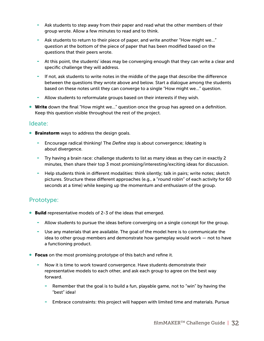- Ask students to step away from their paper and read what the other members of their group wrote. Allow a few minutes to read and to think.
- Ask students to return to their piece of paper, and write another "How might we..." question at the bottom of the piece of paper that has been modified based on the questions that their peers wrote.
- At this point, the students' ideas may be converging enough that they can write a clear and specific challenge they will address.
- If not, ask students to write notes in the middle of the page that describe the difference between the questions they wrote above and below. Start a dialogue among the students based on these notes until they can converge to a single "How might we…" question.
- Allow students to reformulate groups based on their interests if they wish.
- Write down the final "How might we..." question once the group has agreed on a definition. Keep this question visible throughout the rest of the project.

#### Ideate:

- **Brainstorm** ways to address the design goals.
	- Encourage radical thinking! The *Define* step is about convergence; *Ideating* is about divergence.
	- Try having a brain race: challenge students to list as many ideas as they can in exactly 2 minutes, then share their top 3 most promising/interesting/exciting ideas for discussion.
	- Help students think in different modalities: think silently; talk in pairs; write notes; sketch pictures. Structure these different approaches (e.g., a "round robin" of each activity for 60 seconds at a time) while keeping up the momentum and enthusiasm of the group.

#### Prototype:

- **Build** representative models of 2-3 of the ideas that emerged.
	- Allow students to pursue the ideas before converging on a single concept for the group.
	- Use any materials that are available. The goal of the model here is to communicate the idea to other group members and demonstrate how gameplay would work — not to have a functioning product.
- Focus on the most promising prototype of this batch and refine it.
	- Now it is time to work toward convergence. Have students demonstrate their representative models to each other, and ask each group to agree on the best way forward.
		- Remember that the goal is to build a fun, playable game, not to "win" by having the "best" idea!
		- Embrace constraints: this project will happen with limited time and materials. Pursue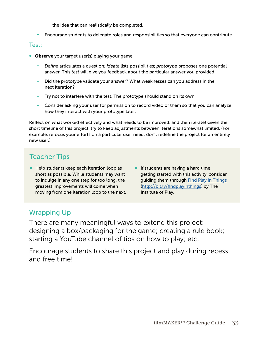the idea that can realistically be completed.

- Encourage students to delegate roles and responsibilities so that everyone can contribute.

#### Test:

- Observe your target user(s) playing your game.
	- *Define* articulates a question; *ideate* lists possibilities; *prototype* proposes one potential answer. This *test* will give you feedback about the particular answer you provided.
	- Did the prototype validate your answer? What weaknesses can you address in the next iteration?
	- Try not to interfere with the test. The prototype should stand on its own.
	- Consider asking your user for permission to record video of them so that you can analyze how they interact with your prototype later.

Reflect on what worked effectively and what needs to be improved, and then iterate! Given the short timeline of this project, try to keep adjustments between iterations somewhat limited. (For example, refocus your efforts on a particular user need; don't redefine the project for an entirely new user.)

### Teacher Tips

- Help students keep each iteration loop as short as possible. While students may want to indulge in any one step for too long, the greatest improvements will come when moving from one iteration loop to the next.
- If students are having a hard time getting started with this activity, consider guiding them through [Find Play in Things](http://bit.ly/findplayinthings) ([http://bit.ly/findplayinthings\)](http://bit.ly/findplayinthings) by The Institute of Play.

### Wrapping Up

There are many meaningful ways to extend this project: designing a box/packaging for the game; creating a rule book; starting a YouTube channel of tips on how to play; etc.

Encourage students to share this project and play during recess and free time!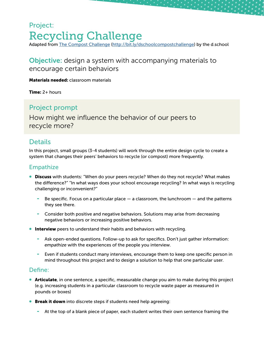# <span id="page-33-0"></span>Project: Recycling Challenge

Adapted from [The Compost Challenge](http://bit.ly/dschoolcompostchallenge) [\(http://bit.ly/dschoolcompostchallenge](http://bit.ly/dschoolcompostchallenge)) by the d.school

### Objective: design a system with accompanying materials to encourage certain behaviors

Materials needed: classroom materials

**Time:**  $2+$  hours

### Project prompt

How might we influence the behavior of our peers to recycle more?

### **Details**

In this project, small groups (3-4 students) will work through the entire design cycle to create a system that changes their peers' behaviors to recycle (or compost) more frequently.

### Empathize

- **Discuss** with students: "When do your peers recycle? When do they not recycle? What makes the difference?" "In what ways does your school encourage recycling? In what ways is recycling challenging or inconvenient?"
	- Be specific. Focus on a particular place  $-$  a classroom, the lunchroom  $-$  and the patterns they see there.
	- Consider both positive and negative behaviors. Solutions may arise from decreasing negative behaviors or increasing positive behaviors.
- **Interview** peers to understand their habits and behaviors with recycling.
	- Ask open-ended questions. Follow-up to ask for specifics. Don't just gather information: *empathize* with the experiences of the people you interview.
	- Even if students conduct many interviews, encourage them to keep one specific person in mind throughout this project and to design a solution to help that one particular user.

#### Define:

- **Articulate**, in one sentence, a specific, measurable change you aim to make during this project (e.g. increasing students in a particular classroom to recycle waste paper as measured in pounds or boxes)
- **Break it down** into discrete steps if students need help agreeing:
	- At the top of a blank piece of paper, each student writes their own sentence framing the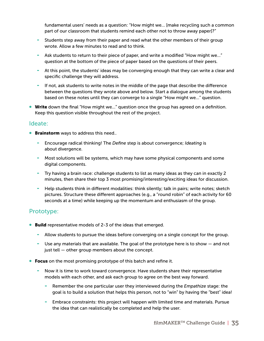fundamental users' needs as a question: "How might we… [make recycling such a common part of our classroom that students remind each other not to throw away paper]?"

- Students step away from their paper and read what the other members of their group wrote. Allow a few minutes to read and to think.
- Ask students to return to their piece of paper, and write a modified "How might we…" question at the bottom of the piece of paper based on the questions of their peers.
- At this point, the students' ideas may be converging enough that they can write a clear and specific challenge they will address.
- If not, ask students to write notes in the middle of the page that describe the difference between the questions they wrote above and below. Start a dialogue among the students based on these notes until they can converge to a single "How might we…" question.
- Write down the final "How might we..." question once the group has agreed on a definition. Keep this question visible throughout the rest of the project.

#### Ideate:

- **Brainstorm** ways to address this need..
	- Encourage radical thinking! The *Define* step is about convergence; *Ideating* is about divergence.
	- Most solutions will be systems, which may have some physical components and some digital components.
	- Try having a brain race: challenge students to list as many ideas as they can in exactly 2 minutes, then share their top 3 most promising/interesting/exciting ideas for discussion.
	- Help students think in different modalities: think silently; talk in pairs; write notes; sketch pictures. Structure these different approaches (e.g., a "round robin" of each activity for 60 seconds at a time) while keeping up the momentum and enthusiasm of the group.

#### Prototype:

- **Build** representative models of 2-3 of the ideas that emerged.
	- Allow students to pursue the ideas before converging on a single concept for the group.
	- Use any materials that are available. The goal of the prototype here is to show and not just tell — other group members about the concept.
- Focus on the most promising prototype of this batch and refine it.
	- Now it is time to work toward convergence. Have students share their representative models with each other, and ask each group to agree on the best way forward.
		- Remember the one particular user they interviewed during the *Empathize* stage: the goal is to build a solution that helps this person, not to "win" by having the "best" idea!
		- Embrace constraints: this project will happen with limited time and materials. Pursue the idea that can realistically be completed and help the user.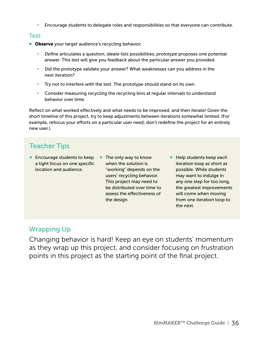- Encourage students to delegate roles and responsibilities so that everyone can contribute.

#### Test:

- **Observe** your target audience's recycling behavior.
	- *Define* articulates a question; *ideate* lists possibilities; *prototype* proposes one potential answer. This *test* will give you feedback about the particular answer you provided.
	- Did the prototype validate your answer? What weaknesses can you address in the next iteration?
	- Try not to interfere with the test. The prototype should stand on its own.
	- Consider measuring recycling the recycling bins at regular intervals to understand behavior over time.

Reflect on what worked effectively and what needs to be improved, and then iterate! Given the short timeline of this project, try to keep adjustments between iterations somewhat limited. (For example, refocus your efforts on a particular user need; don't redefine the project for an entirely new user.)

### Teacher Tips

- Encourage students to keep The only way to know a tight focus on one specific location and audience.
	- when the solution is "working" depends on the users' recycling behavior. This project may need to be distributed over time to assess the effectiveness of the design.
- Help students keep each iteration loop as short as possible. While students may want to indulge in any one step for too long, the greatest improvements will come when moving from one iteration loop to the next.

### Wrapping Up

Changing behavior is hard! Keep an eye on students' momentum as they wrap up this project, and consider focusing on frustration points in this project as the starting point of the final project.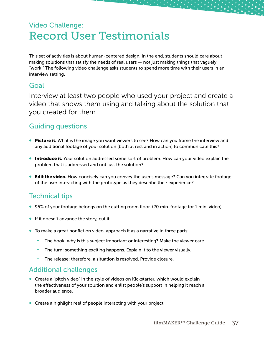# <span id="page-36-0"></span>Video Challenge: Record User Testimonials

This set of activities is about human-centered design. In the end, students should care about making solutions that satisfy the needs of real users — not just making things that vaguely "work." The following video challenge asks students to spend more time with their users in an interview setting.

### Goal

Interview at least two people who used your project and create a video that shows them using and talking about the solution that you created for them.

### Guiding questions

- **Picture it.** What is the image you want viewers to see? How can you frame the interview and any additional footage of your solution (both at rest and in action) to communicate this?
- **Introduce it.** Your solution addressed some sort of problem. How can your video explain the problem that is addressed and not just the solution?
- **Edit the video.** How concisely can you convey the user's message? Can you integrate footage of the user interacting with the prototype as they describe their experience?

### Technical tips

- 95% of your footage belongs on the cutting room floor. (20 min. footage for 1 min. video)
- If it doesn't advance the story, cut it.
- To make a great nonfiction video, approach it as a narrative in three parts:
	- The hook: why is this subject important or interesting? Make the viewer care.
	- The turn: something exciting happens. Explain it to the viewer visually.
	- The release: therefore, a situation is resolved. Provide closure.

### Additional challenges

- Create a "pitch video" in the style of videos on Kickstarter, which would explain the effectiveness of your solution and enlist people's support in helping it reach a broader audience.
- Create a highlight reel of people interacting with your project.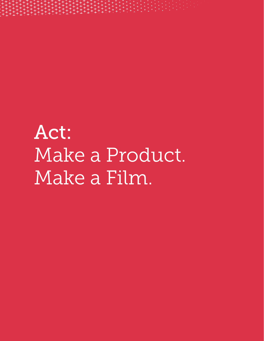<span id="page-37-0"></span><del>┇</del>┿╏╇╫╄╄┞╄╏╄╻╀╻╿┥╏┥╻╹╻╹╎╎╎<br>╫╫╄╫╫╫╫╫╫╫╫╫╢╢╢╢╢╢╏┆<br>╫╫╫╫╫╢╫╢╫╜╫┈┦╫╿╫╿╫┇

Act: Make a Product. Make a Film.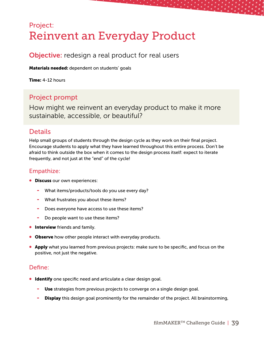# <span id="page-38-0"></span>Project: Reinvent an Everyday Product

### **Objective:** redesign a real product for real users

Materials needed: dependent on students' goals

Time: 4-12 hours

### Project prompt

How might we reinvent an everyday product to make it more sustainable, accessible, or beautiful?

### **Details**

Help small groups of students through the design cycle as they work on their final project. Encourage students to apply what they have learned throughout this entire process. Don't be afraid to think outside the box when it comes to the design process itself: expect to iterate frequently, and not just at the "end" of the cycle!

#### Empathize:

- **Discuss our own experiences:** 
	- What items/products/tools do you use every day?
	- What frustrates you about these items?
	- Does everyone have access to use these items?
	- Do people want to use these items?
- **Interview** friends and family.
- Observe how other people interact with everyday products.
- **Apply** what you learned from previous projects: make sure to be specific, and focus on the positive, not just the negative.

#### Define:

- **Identify** one specific need and articulate a clear design goal.
	- Use strategies from previous projects to converge on a single design goal.
	- Display this design goal prominently for the remainder of the project. All brainstorming,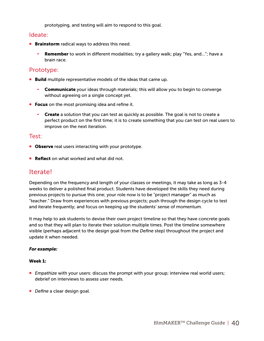prototyping, and testing will aim to respond to this goal.

#### Ideate:

- **Brainstorm** radical ways to address this need.
	- **Remember** to work in different modalities; try a gallery walk; play "Yes, and..."; have a brain race.

#### Prototype:

- **Build** multiple representative models of the ideas that came up.
	- **-** Communicate your ideas through materials; this will allow you to begin to converge without agreeing on a single concept yet.
- Focus on the most promising idea and refine it.
	- **-** Create a solution that you can test as quickly as possible. The goal is not to create a perfect product on the first time; it is to create something that you can test on real users to improve on the next iteration.

#### Test:

- **Observe** real users interacting with your prototype.
- **Reflect** on what worked and what did not.

### Iterate!

Depending on the frequency and length of your classes or meetings, it may take as long as 3-4 weeks to deliver a polished final product. Students have developed the skills they need during previous projects to pursue this one; your role now is to be "project manager" as much as "teacher." Draw from experiences with previous projects; push through the design cycle to test and iterate frequently; and focus on keeping up the students' sense of momentum.

It may help to ask students to devise their own project timeline so that they have concrete goals and so that they will plan to iterate their solution multiple times. Post the timeline somewhere visible (perhaps adjacent to the design goal from the *Define* step) throughout the project and update it when needed.

#### *For example:*

#### Week 1:

- *Empathize* with your users: discuss the prompt with your group; interview real world users; debrief on interviews to assess user needs.
- *Define* a clear design goal.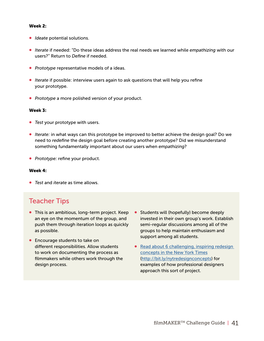#### Week 2:

- *Ideate* potential solutions.
- *Iterate* if needed: "Do these ideas address the real needs we learned while *empathizing* with our users?" Return to *Define* if needed.
- *Prototype* representative models of a ideas.
- **Iterate** if possible: interview users again to ask questions that will help you refine your prototype.
- *Prototype* a more polished version of your product.

#### Week 3:

- *Test* your prototype with users.
- *Iterate:* in what ways can this prototype be improved to better achieve the design goal? Do we need to *redefine* the design goal before creating another prototype? Did we misunderstand something fundamentally important about our users when *empathizing*?
- *Prototype:* refine your product.

#### Week 4:

• *Test* and *iterate* as time allows.

### Teacher Tips

- This is an ambitious, long-term project. Keep an eye on the momentum of the group, and push them through iteration loops as quickly as possible.
- Encourage students to take on different responsibilities. Allow students to work on documenting the process as filmmakers while others work through the design process.
- Students will (hopefully) become deeply invested in their own group's work. Establish semi-regular discussions among all of the groups to help maintain enthusiasm and support among all students.
- Read about 6 challenging, inspiring redesign [concepts in the New York Times](http://bit.ly/nytredesignconcepts) (<http://bit.ly/nytredesignconcepts>) for examples of how professional designers approach this sort of project.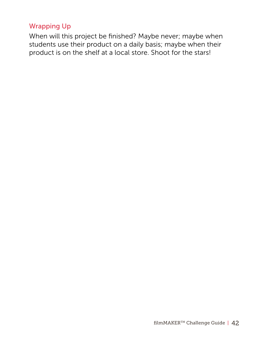### Wrapping Up

When will this project be finished? Maybe never; maybe when students use their product on a daily basis; maybe when their product is on the shelf at a local store. Shoot for the stars!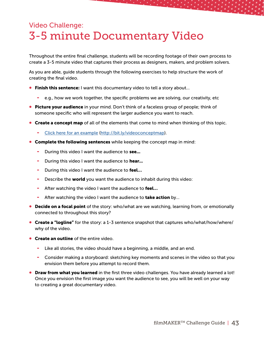# <span id="page-42-0"></span>Video Challenge: 3-5 minute Documentary Video

Throughout the entire final challenge, students will be recording footage of their own process to create a 3-5 minute video that captures their process as designers, makers, and problem solvers.

As you are able, guide students through the following exercises to help structure the work of creating the final video.

- **Finish this sentence:** I want this documentary video to tell a story about...
	- e.g., how we work together, the specific problems we are solving, our creativity, etc
- Picture your audience in your mind. Don't think of a faceless group of people; think of someone specific who will represent the larger audience you want to reach.
- **Create a concept map** of all of the elements that come to mind when thinking of this topic.
	- [Click here for an example \(http://bit.ly/videoconceptmap](http://bit.ly/videoconceptmap)).
- **Complete the following sentences** while keeping the concept map in mind:
	- During this video I want the audience to see...
	- During this video I want the audience to hear...
	- During this video I want the audience to feel...
	- Describe the world you want the audience to inhabit during this video:
	- After watching the video I want the audience to feel...
	- After watching the video I want the audience to **take action** by...
- **Decide on a focal point** of the story: who/what are we watching, learning from, or emotionally connected to throughout this story?
- Create a "logline" for the story: a 1-3 sentence snapshot that captures who/what/how/where/ why of the video.
- **Create an outline** of the entire video.
	- Like all stories, the video should have a beginning, a middle, and an end.
	- Consider making a storyboard: sketching key moments and scenes in the video so that you envision them before you attempt to record them.
- **Draw from what you learned** in the first three video challenges. You have already learned a lot! Once you envision the first image you want the audience to see, you will be well on your way to creating a great documentary video.